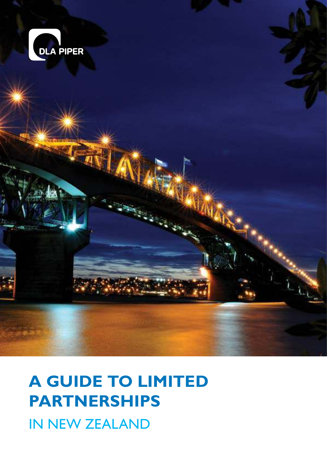

# **A GUIDE TO LIMITED PARTNERSHIPS**

IN NEW ZEALAND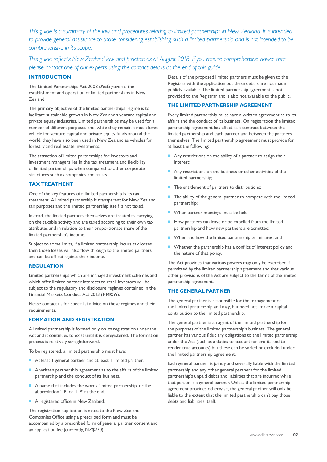*This guide is a summary of the law and procedures relating to limited partnerships in New Zealand. It is intended to provide general assistance to those considering establishing such a limited partnership and is not intended to be comprehensive in its scope.*

*This guide reflects New Zealand law and practice as at August 2018. If you require comprehensive advice then please contact one of our experts using the contact details at the end of this guide.*

# **INTRODUCTION**

The Limited Partnerships Act 2008 (**Act**) governs the establishment and operation of limited partnerships in New Zealand.

The primary objective of the limited partnerships regime is to facilitate sustainable growth in New Zealand's venture capital and private equity industries. Limited partnerships may be used for a number of different purposes and, while they remain a much loved vehicle for venture capital and private equity funds around the world, they have also been used in New Zealand as vehicles for forestry and real estate investments.

The attraction of limited partnerships for investors and investment managers lies in the tax treatment and flexibility of limited partnerships when compared to other corporate structures such as companies and trusts.

# **TAX TREATMENT**

One of the key features of a limited partnership is its tax treatment. A limited partnership is transparent for New Zealand tax purposes and the limited partnership itself is not taxed.

Instead, the limited partners themselves are treated as carrying on the taxable activity and are taxed according to their own tax attributes and in relation to their proportionate share of the limited partnership's income.

Subject to some limits, if a limited partnership incurs tax losses then those losses will also flow through to the limited partners and can be off-set against their income.

#### **REGULATION**

Limited partnerships which are managed investment schemes and which offer limited partner interests to retail investors will be subject to the regulatory and disclosure regimes contained in the Financial Markets Conduct Act 2013 (**FMCA**).

Please contact us for specialist advice on these regimes and their requirements.

# **FORMATION AND REGISTRATION**

A limited partnership is formed only on its registration under the Act and it continues to exist until it is deregistered. The formation process is relatively straightforward.

To be registered, a limited partnership must have:

- At least 1 general partner and at least 1 limited partner.
- A written partnership agreement as to the affairs of the limited partnership and the conduct of its business.
- A name that includes the words 'limited partnership' or the abbreviation 'LP' or 'L.P.' at the end.
- A registered office in New Zealand.

The registration application is made to the New Zealand Companies Office using a prescribed form and must be accompanied by a prescribed form of general partner consent and an application fee (currently, NZ\$270).

Details of the proposed limited partners must be given to the Registrar with the application but these details are not made publicly available. The limited partnership agreement is not provided to the Registrar and is also not available to the public.

# **THE LIMITED PARTNERSHIP AGREEMENT**

Every limited partnership must have a written agreement as to its affairs and the conduct of its business. On registration the limited partnership agreement has effect as a contract between the limited partnership and each partner and between the partners themselves. The limited partnership agreement must provide for at least the following:

- Any restrictions on the ability of a partner to assign their interest;
- Any restrictions on the business or other activities of the limited partnership;
- The entitlement of partners to distributions;
- The ability of the general partner to compete with the limited partnership;
- When partner meetings must be held;
- How partners can leave or be expelled from the limited partnership and how new partners are admitted;
- When and how the limited partnership terminates; and
- Whether the partnership has a conflict of interest policy and the nature of that policy.

The Act provides that various powers may only be exercised if permitted by the limited partnership agreement and that various other provisions of the Act are subject to the terms of the limited partnership agreement.

# **THE GENERAL PARTNER**

The general partner is responsible for the management of the limited partnership and may, but need not, make a capital contribution to the limited partnership.

The general partner is an agent of the limited partnership for the purposes of the limited partnership's business. The general partner has various fiduciary obligations to the limited partnership under the Act (such as a duties to account for profits and to render true accounts) but these can be varied or excluded under the limited partnership agreement.

Each general partner is jointly and severally liable with the limited partnership and any other general partners for the limited partnership's unpaid debts and liabilities that are incurred while that person is a general partner. Unless the limited partnership agreement provides otherwise, the general partner will only be liable to the extent that the limited partnership can't pay those debts and liabilities itself.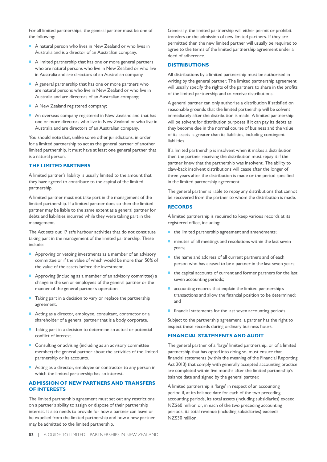For all limited partnerships, the general partner must be one of the following:

- A natural person who lives in New Zealand or who lives in Australia and is a director of an Australian company.
- A limited partnership that has one or more general partners who are natural persons who live in New Zealand or who live in Australia and are directors of an Australian company.
- A general partnership that has one or more partners who are natural persons who live in New Zealand or who live in Australia and are directors of an Australian company;
- A New Zealand registered company;
- An overseas company registered in New Zealand and that has one or more directors who live in New Zealand or who live in Australia and are directors of an Australian company.

You should note that, unlike some other jurisdictions, in order for a limited partnership to act as the general partner of another limited partnership, it must have at least one general partner that is a natural person.

# **THE LIMITED PARTNERS**

A limited partner's liability is usually limited to the amount that they have agreed to contribute to the capital of the limited partnership.

A limited partner must not take part in the management of the limited partnership. If a limited partner does so then the limited partner may be liable to the same extent as a general partner for debts and liabilities incurred while they were taking part in the management.

The Act sets out 17 safe harbour activities that do not constitute taking part in the management of the limited partnership. These include:

- Approving or vetoing investments as a member of an advisory committee or if the value of which would be more than 50% of the value of the assets before the investment.
- Approving (including as a member of an advisory committee) a change in the senior employees of the general partner or the manner of the general partner's operation.
- Taking part in a decision to vary or replace the partnership agreement.
- Acting as a director, employee, consultant, contractor or a shareholder of a general partner that is a body corporate.
- Taking part in a decision to determine an actual or potential conflict of interest.
- Consulting or advising (including as an advisory committee member) the general partner about the activities of the limited partnership or its accounts.
- Acting as a director, employee or contractor to any person in which the limited partnership has an interest.

# **ADMISSION OF NEW PARTNERS AND TRANSFERS OF INTERESTS**

The limited partnership agreement must set out any restrictions on a partner's ability to assign or dispose of their partnership interest. It also needs to provide for how a partner can leave or be expelled from the limited partnership and how a new partner may be admitted to the limited partnership.

Generally, the limited partnership will either permit or prohibit transfers or the admission of new limited partners. If they are permitted then the new limited partner will usually be required to agree to the terms of the limited partnership agreement under a deed of adherence.

#### **DISTRIBUTIONS**

All distributions by a limited partnership must be authorised in writing by the general partner. The limited partnership agreement will usually specify the rights of the partners to share in the profits of the limited partnership and to receive distributions.

A general partner can only authorise a distribution if satisfied on reasonable grounds that the limited partnership will be solvent immediately after the distribution is made. A limited partnership will be solvent for distribution purposes if it can pay its debts as they become due in the normal course of business and the value of its assets is greater than its liabilities, including contingent liabilities

If a limited partnership is insolvent when it makes a distribution then the partner receiving the distribution must repay it if the partner knew that the partnership was insolvent. The ability to claw-back insolvent distributions will cease after the longer of three years after the distribution is made or the period specified in the limited partnership agreement.

The general partner is liable to repay any distributions that cannot be recovered from the partner to whom the distribution is made.

# **RECORDS**

A limited partnership is required to keep various records at its registered office, including:

- the limited partnership agreement and amendments;
- minutes of all meetings and resolutions within the last seven years;
- the name and address of all current partners and of each person who has ceased to be a partner in the last seven years;
- the capital accounts of current and former partners for the last seven accounting periods;
- accounting records that explain the limited partnership's transactions and allow the financial position to be determined; and
- financial statements for the last seven accounting periods.

Subject to the partnership agreement, a partner has the right to inspect these records during ordinary business hours.

# **FINANCIAL STATEMENTS AND AUDIT**

The general partner of a 'large' limited partnership, or of a limited partnership that has opted into doing so, must ensure that financial statements (within the meaning of the Financial Reporting Act 2013) that comply with generally accepted accounting practice are completed within five months after the limited partnership's balance date and signed by the general partner.

A limited partnership is 'large' in respect of an accounting period if, at its balance date for each of the two preceding accounting periods, its total assets (including subsidiaries) exceed NZ\$60 million or, in each of the two preceding accounting periods, its total revenue (including subsidiaries) exceeds NZ\$30 million.